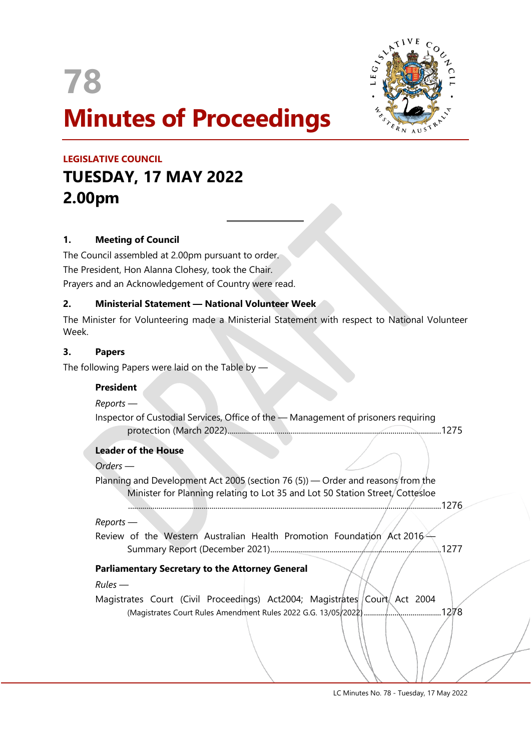

 $\overline{a}$ 



# **LEGISLATIVE COUNCIL TUESDAY, 17 MAY 2022 2.00pm**

## **1. Meeting of Council**

The Council assembled at 2.00pm pursuant to order. The President, Hon Alanna Clohesy, took the Chair. Prayers and an Acknowledgement of Country were read.

## **2. Ministerial Statement — National Volunteer Week**

The Minister for Volunteering made a Ministerial Statement with respect to National Volunteer Week.

#### **3. Papers**

The following Papers were laid on the Table by —

#### **President**

*Reports —*

Inspector of Custodial Services, Office of the — Management of prisoners requiring protection (March 2022).........................................................................................................1275

#### **Leader of the House**

*Orders —*

Planning and Development Act 2005 (section 76 (5)) — Order and reasons from the Minister for Planning relating to Lot 35 and Lot 50 Station Street, Cottesloe

..........................................................................................................................................................1276

#### *Reports* —

Review of the Western Australian Health Promotion Foundation Act 2016 $\leftarrow$ Summary Report (December 2021)....................................................................................1277

## **Parliamentary Secretary to the Attorney General**

#### *Rules —*

Magistrates Court (Civil Proceedings) Act2004; Magistrates Court Act 2004 (Magistrates Court Rules Amendment Rules 2022 G.G. 13/05/2022)......................................1278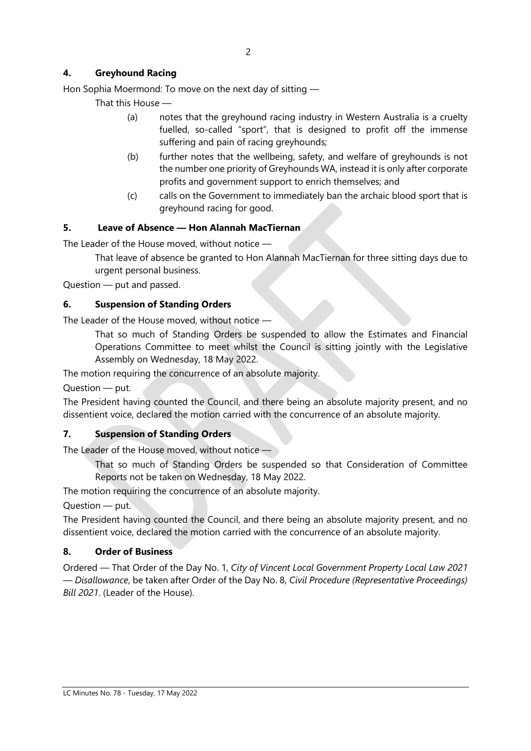## **4. Greyhound Racing**

Hon Sophia Moermond: To move on the next day of sitting —

That this House —

- (a) notes that the greyhound racing industry in Western Australia is a cruelty fuelled, so-called "sport", that is designed to profit off the immense suffering and pain of racing greyhounds;
- (b) further notes that the wellbeing, safety, and welfare of greyhounds is not the number one priority of Greyhounds WA, instead it is only after corporate profits and government support to enrich themselves; and
- (c) calls on the Government to immediately ban the archaic blood sport that is greyhound racing for good.

## **5. Leave of Absence — Hon Alannah MacTiernan**

The Leader of the House moved, without notice —

That leave of absence be granted to Hon Alannah MacTiernan for three sitting days due to urgent personal business.

Question — put and passed.

## **6. Suspension of Standing Orders**

The Leader of the House moved, without notice —

That so much of Standing Orders be suspended to allow the Estimates and Financial Operations Committee to meet whilst the Council is sitting jointly with the Legislative Assembly on Wednesday, 18 May 2022.

The motion requiring the concurrence of an absolute majority.

Question — put.

The President having counted the Council, and there being an absolute majority present, and no dissentient voice, declared the motion carried with the concurrence of an absolute majority.

## **7. Suspension of Standing Orders**

The Leader of the House moved, without notice —

That so much of Standing Orders be suspended so that Consideration of Committee Reports not be taken on Wednesday, 18 May 2022.

The motion requiring the concurrence of an absolute majority.

Question — put.

The President having counted the Council, and there being an absolute majority present, and no dissentient voice, declared the motion carried with the concurrence of an absolute majority.

## **8. Order of Business**

Ordered — That Order of the Day No. 1, *City of Vincent Local Government Property Local Law 2021 — Disallowance*, be taken after Order of the Day No. 8, *Civil Procedure (Representative Proceedings) Bill 2021*. (Leader of the House).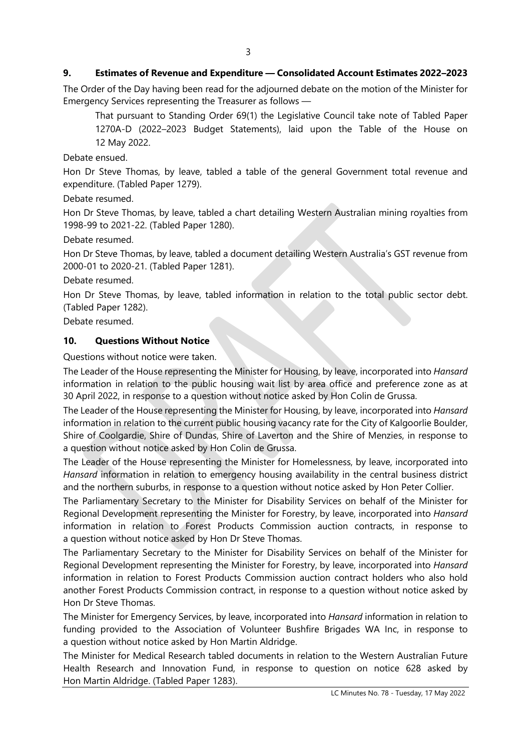### **9. Estimates of Revenue and Expenditure — Consolidated Account Estimates 2022–2023**

The Order of the Day having been read for the adjourned debate on the motion of the Minister for Emergency Services representing the Treasurer as follows —

That pursuant to Standing Order 69(1) the Legislative Council take note of Tabled Paper 1270A-D (2022–2023 Budget Statements), laid upon the Table of the House on 12 May 2022.

Debate ensued.

Hon Dr Steve Thomas, by leave, tabled a table of the general Government total revenue and expenditure. (Tabled Paper 1279).

Debate resumed.

Hon Dr Steve Thomas, by leave, tabled a chart detailing Western Australian mining royalties from 1998-99 to 2021-22. (Tabled Paper 1280).

Debate resumed.

Hon Dr Steve Thomas, by leave, tabled a document detailing Western Australia's GST revenue from 2000-01 to 2020-21. (Tabled Paper 1281).

Debate resumed.

Hon Dr Steve Thomas, by leave, tabled information in relation to the total public sector debt. (Tabled Paper 1282).

Debate resumed.

#### **10. Questions Without Notice**

Questions without notice were taken.

The Leader of the House representing the Minister for Housing, by leave, incorporated into *Hansard* information in relation to the public housing wait list by area office and preference zone as at 30 April 2022, in response to a question without notice asked by Hon Colin de Grussa.

The Leader of the House representing the Minister for Housing, by leave, incorporated into *Hansard* information in relation to the current public housing vacancy rate for the City of Kalgoorlie Boulder, Shire of Coolgardie, Shire of Dundas, Shire of Laverton and the Shire of Menzies, in response to a question without notice asked by Hon Colin de Grussa.

The Leader of the House representing the Minister for Homelessness, by leave, incorporated into *Hansard* information in relation to emergency housing availability in the central business district and the northern suburbs, in response to a question without notice asked by Hon Peter Collier.

The Parliamentary Secretary to the Minister for Disability Services on behalf of the Minister for Regional Development representing the Minister for Forestry, by leave, incorporated into *Hansard* information in relation to Forest Products Commission auction contracts, in response to a question without notice asked by Hon Dr Steve Thomas.

The Parliamentary Secretary to the Minister for Disability Services on behalf of the Minister for Regional Development representing the Minister for Forestry, by leave, incorporated into *Hansard* information in relation to Forest Products Commission auction contract holders who also hold another Forest Products Commission contract, in response to a question without notice asked by Hon Dr Steve Thomas.

The Minister for Emergency Services, by leave, incorporated into *Hansard* information in relation to funding provided to the Association of Volunteer Bushfire Brigades WA Inc, in response to a question without notice asked by Hon Martin Aldridge.

The Minister for Medical Research tabled documents in relation to the Western Australian Future Health Research and Innovation Fund, in response to question on notice 628 asked by Hon Martin Aldridge. (Tabled Paper 1283).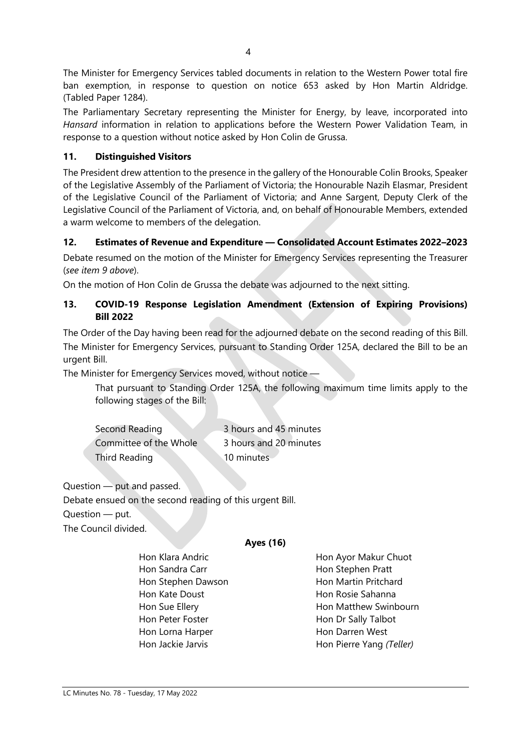The Minister for Emergency Services tabled documents in relation to the Western Power total fire ban exemption, in response to question on notice 653 asked by Hon Martin Aldridge. (Tabled Paper 1284).

The Parliamentary Secretary representing the Minister for Energy, by leave, incorporated into *Hansard* information in relation to applications before the Western Power Validation Team, in response to a question without notice asked by Hon Colin de Grussa.

## **11. Distinguished Visitors**

The President drew attention to the presence in the gallery of the Honourable Colin Brooks, Speaker of the Legislative Assembly of the Parliament of Victoria; the Honourable Nazih Elasmar, President of the Legislative Council of the Parliament of Victoria; and Anne Sargent, Deputy Clerk of the Legislative Council of the Parliament of Victoria, and, on behalf of Honourable Members, extended a warm welcome to members of the delegation.

## **12. Estimates of Revenue and Expenditure — Consolidated Account Estimates 2022–2023**

Debate resumed on the motion of the Minister for Emergency Services representing the Treasurer (*see item 9 above*).

On the motion of Hon Colin de Grussa the debate was adjourned to the next sitting.

## **13. COVID-19 Response Legislation Amendment (Extension of Expiring Provisions) Bill 2022**

The Order of the Day having been read for the adjourned debate on the second reading of this Bill. The Minister for Emergency Services, pursuant to Standing Order 125A, declared the Bill to be an urgent Bill.

The Minister for Emergency Services moved, without notice —

That pursuant to Standing Order 125A, the following maximum time limits apply to the following stages of the Bill:

| Second Reading         | 3 hours and 45 minutes |
|------------------------|------------------------|
| Committee of the Whole | 3 hours and 20 minutes |
| <b>Third Reading</b>   | 10 minutes             |

Question — put and passed.

Debate ensued on the second reading of this urgent Bill. Question — put.

The Council divided.

## **Ayes (16)**

Hon Sandra Carr **Hon Stephen Pratt** Hon Stephen Dawson Hon Martin Pritchard Hon Kate Doust **Hon Rosie Sahanna** Hon Peter Foster **Hon Dr Sally Talbot** Hon Lorna Harper **Hon Darren West** 

Hon Klara Andric **Hon Ayor Makur Chuot** Hon Sue Ellery **Hon Matthew Swinbourn** Hon Jackie Jarvis **Hon Pierre Yang** *(Teller)*